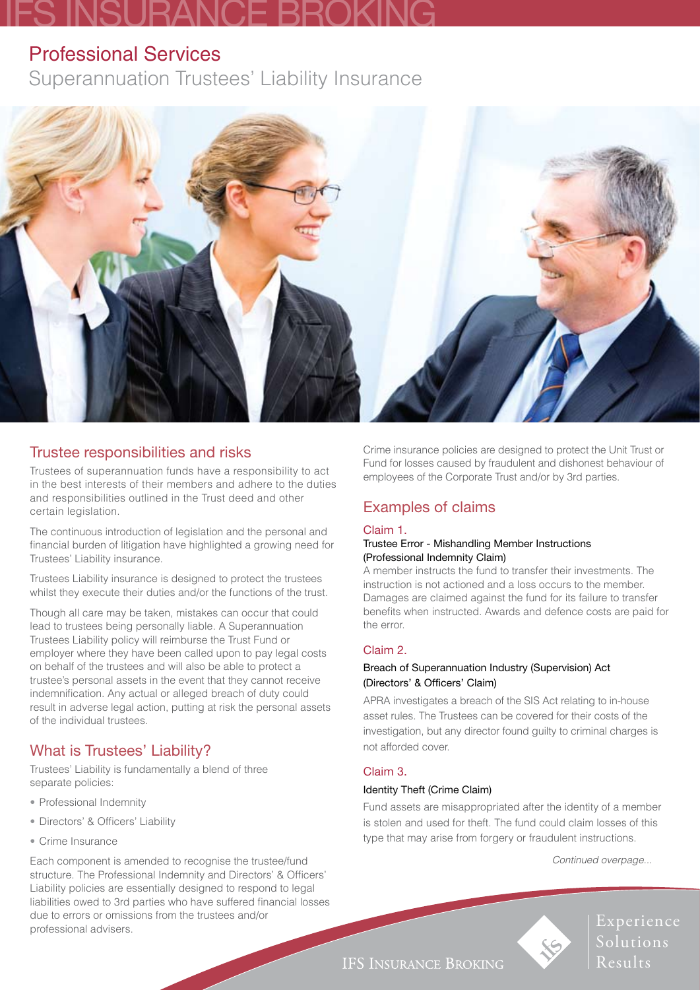# IFS INSURANCE BROKING

## Professional Services

Superannuation Trustees' Liability Insurance



## Trustee responsibilities and risks

Trustees of superannuation funds have a responsibility to act in the best interests of their members and adhere to the duties and responsibilities outlined in the Trust deed and other certain legislation.

The continuous introduction of legislation and the personal and financial burden of litigation have highlighted a growing need for Trustees' Liability insurance.

Trustees Liability insurance is designed to protect the trustees whilst they execute their duties and/or the functions of the trust.

Though all care may be taken, mistakes can occur that could lead to trustees being personally liable. A Superannuation Trustees Liability policy will reimburse the Trust Fund or employer where they have been called upon to pay legal costs on behalf of the trustees and will also be able to protect a trustee's personal assets in the event that they cannot receive indemnification. Any actual or alleged breach of duty could result in adverse legal action, putting at risk the personal assets of the individual trustees.

## What is Trustees' Liability?

Trustees' Liability is fundamentally a blend of three separate policies:

- Professional Indemnity
- Directors' & Officers' Liability
- Crime Insurance

Each component is amended to recognise the trustee/fund structure. The Professional Indemnity and Directors' & Officers' Liability policies are essentially designed to respond to legal liabilities owed to 3rd parties who have suffered financial losses due to errors or omissions from the trustees and/or professional advisers.

Crime insurance policies are designed to protect the Unit Trust or Fund for losses caused by fraudulent and dishonest behaviour of employees of the Corporate Trust and/or by 3rd parties.

## Examples of claims

#### Claim 1.

#### Trustee Error - Mishandling Member Instructions (Professional Indemnity Claim)

A member instructs the fund to transfer their investments. The instruction is not actioned and a loss occurs to the member. Damages are claimed against the fund for its failure to transfer benefits when instructed. Awards and defence costs are paid for the error.

#### Claim 2.

#### Breach of Superannuation Industry (Supervision) Act (Directors' & Officers' Claim)

APRA investigates a breach of the SIS Act relating to in-house asset rules. The Trustees can be covered for their costs of the investigation, but any director found guilty to criminal charges is not afforded cover.

#### Claim 3.

#### Identity Theft (Crime Claim)

Fund assets are misappropriated after the identity of a member is stolen and used for theft. The fund could claim losses of this type that may arise from forgery or fraudulent instructions.

 *Continued overpage...*



Experience Solutions Results

**IFS INSURANCE BROKING**